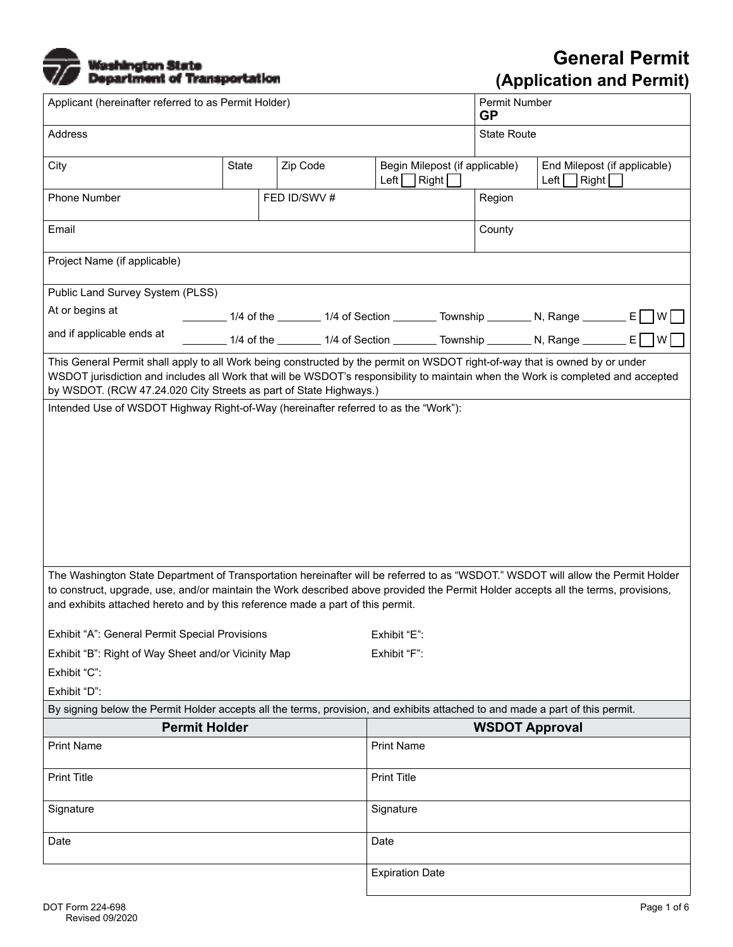# Washington State<br>Department of Transportation

| Applicant (hereinafter referred to as Permit Holder)                                                                                                                                                                                                                                                                                                     |                                                                                                |              |              |                                                            |  |               | Permit Number<br><b>GP</b>                                                             |               |                              |        |  |
|----------------------------------------------------------------------------------------------------------------------------------------------------------------------------------------------------------------------------------------------------------------------------------------------------------------------------------------------------------|------------------------------------------------------------------------------------------------|--------------|--------------|------------------------------------------------------------|--|---------------|----------------------------------------------------------------------------------------|---------------|------------------------------|--------|--|
| <b>Address</b>                                                                                                                                                                                                                                                                                                                                           |                                                                                                |              |              |                                                            |  |               | <b>State Route</b>                                                                     |               |                              |        |  |
| City                                                                                                                                                                                                                                                                                                                                                     | <b>State</b>                                                                                   | Zip Code     |              | Begin Milepost (if applicable)<br>Left $\Box$ Right $\Box$ |  | $Left$ $\Box$ |                                                                                        | $\vert$ Right | End Milepost (if applicable) |        |  |
| <b>Phone Number</b>                                                                                                                                                                                                                                                                                                                                      |                                                                                                | FED ID/SWV # |              |                                                            |  | Region        |                                                                                        |               |                              |        |  |
| Email                                                                                                                                                                                                                                                                                                                                                    |                                                                                                |              |              |                                                            |  |               | County                                                                                 |               |                              |        |  |
| Project Name (if applicable)                                                                                                                                                                                                                                                                                                                             |                                                                                                |              |              |                                                            |  |               |                                                                                        |               |                              |        |  |
| Public Land Survey System (PLSS)                                                                                                                                                                                                                                                                                                                         |                                                                                                |              |              |                                                            |  |               |                                                                                        |               |                              |        |  |
| At or begins at                                                                                                                                                                                                                                                                                                                                          | _______ 1/4 of the _______ 1/4 of Section _______ Township _______ N, Range _______ E __] W __ |              |              |                                                            |  |               |                                                                                        |               |                              |        |  |
| and if applicable ends at                                                                                                                                                                                                                                                                                                                                |                                                                                                |              |              |                                                            |  |               | _______ 1/4 of the ________ 1/4 of Section ________ Township ________ N, Range _______ |               |                              | E<br>W |  |
| This General Permit shall apply to all Work being constructed by the permit on WSDOT right-of-way that is owned by or under<br>WSDOT jurisdiction and includes all Work that will be WSDOT's responsibility to maintain when the Work is completed and accepted<br>by WSDOT. (RCW 47.24.020 City Streets as part of State Highways.)                     |                                                                                                |              |              |                                                            |  |               |                                                                                        |               |                              |        |  |
| Intended Use of WSDOT Highway Right-of-Way (hereinafter referred to as the "Work"):                                                                                                                                                                                                                                                                      |                                                                                                |              |              |                                                            |  |               |                                                                                        |               |                              |        |  |
|                                                                                                                                                                                                                                                                                                                                                          |                                                                                                |              |              |                                                            |  |               |                                                                                        |               |                              |        |  |
| The Washington State Department of Transportation hereinafter will be referred to as "WSDOT." WSDOT will allow the Permit Holder<br>to construct, upgrade, use, and/or maintain the Work described above provided the Permit Holder accepts all the terms, provisions,<br>and exhibits attached hereto and by this reference made a part of this permit. |                                                                                                |              |              |                                                            |  |               |                                                                                        |               |                              |        |  |
| Exhibit "A": General Permit Special Provisions                                                                                                                                                                                                                                                                                                           |                                                                                                |              |              | Exhibit "E":                                               |  |               |                                                                                        |               |                              |        |  |
| Exhibit "B": Right of Way Sheet and/or Vicinity Map                                                                                                                                                                                                                                                                                                      |                                                                                                |              | Exhibit "F": |                                                            |  |               |                                                                                        |               |                              |        |  |
| Exhibit "C":                                                                                                                                                                                                                                                                                                                                             |                                                                                                |              |              |                                                            |  |               |                                                                                        |               |                              |        |  |
| Exhibit "D":                                                                                                                                                                                                                                                                                                                                             |                                                                                                |              |              |                                                            |  |               |                                                                                        |               |                              |        |  |
| By signing below the Permit Holder accepts all the terms, provision, and exhibits attached to and made a part of this permit.                                                                                                                                                                                                                            |                                                                                                |              |              |                                                            |  |               |                                                                                        |               |                              |        |  |
| <b>Permit Holder</b>                                                                                                                                                                                                                                                                                                                                     |                                                                                                |              |              |                                                            |  |               | <b>WSDOT Approval</b>                                                                  |               |                              |        |  |
| <b>Print Name</b>                                                                                                                                                                                                                                                                                                                                        |                                                                                                |              |              | <b>Print Name</b>                                          |  |               |                                                                                        |               |                              |        |  |
| <b>Print Title</b>                                                                                                                                                                                                                                                                                                                                       |                                                                                                |              |              | <b>Print Title</b>                                         |  |               |                                                                                        |               |                              |        |  |
| Signature                                                                                                                                                                                                                                                                                                                                                |                                                                                                |              |              | Signature                                                  |  |               |                                                                                        |               |                              |        |  |
| Date                                                                                                                                                                                                                                                                                                                                                     |                                                                                                |              |              | Date                                                       |  |               |                                                                                        |               |                              |        |  |
|                                                                                                                                                                                                                                                                                                                                                          |                                                                                                |              |              | <b>Expiration Date</b>                                     |  |               |                                                                                        |               |                              |        |  |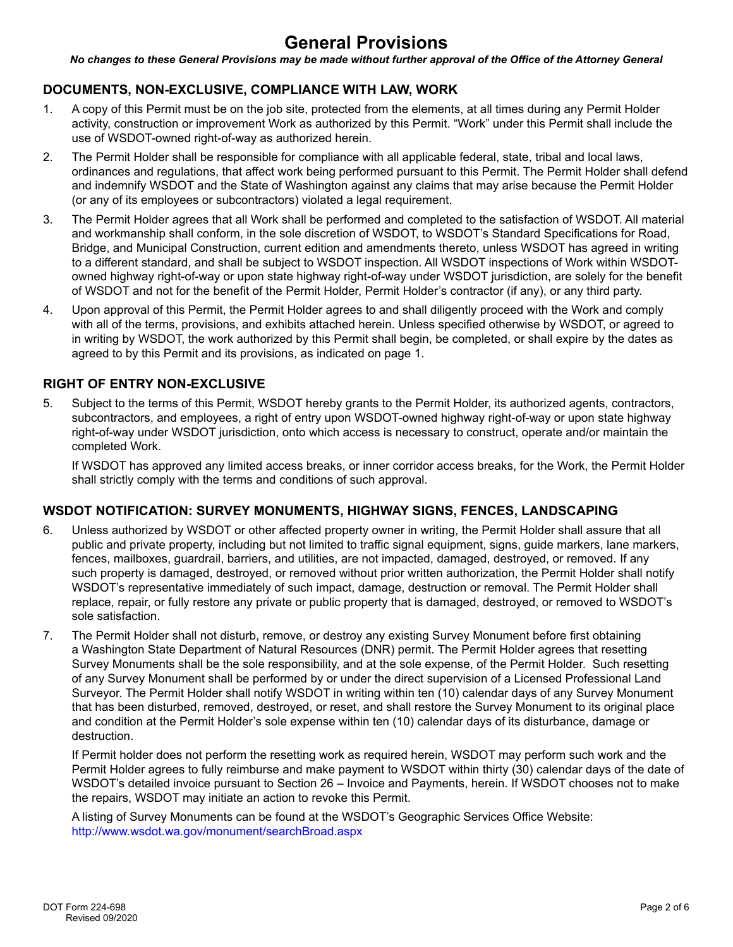# **General Provisions**

*No changes to these General Provisions may be made without further approval of the Office of the Attorney General*

# **DOCUMENTS, NON-EXCLUSIVE, COMPLIANCE WITH LAW, WORK**

- 1. A copy of this Permit must be on the job site, protected from the elements, at all times during any Permit Holder activity, construction or improvement Work as authorized by this Permit. "Work" under this Permit shall include the use of WSDOT-owned right-of-way as authorized herein.
- 2. The Permit Holder shall be responsible for compliance with all applicable federal, state, tribal and local laws, ordinances and regulations, that affect work being performed pursuant to this Permit. The Permit Holder shall defend and indemnify WSDOT and the State of Washington against any claims that may arise because the Permit Holder (or any of its employees or subcontractors) violated a legal requirement.
- 3. The Permit Holder agrees that all Work shall be performed and completed to the satisfaction of WSDOT. All material and workmanship shall conform, in the sole discretion of WSDOT, to WSDOT's Standard Specifications for Road, Bridge, and Municipal Construction, current edition and amendments thereto, unless WSDOT has agreed in writing to a different standard, and shall be subject to WSDOT inspection. All WSDOT inspections of Work within WSDOTowned highway right-of-way or upon state highway right-of-way under WSDOT jurisdiction, are solely for the benefit of WSDOT and not for the benefit of the Permit Holder, Permit Holder's contractor (if any), or any third party.
- 4. Upon approval of this Permit, the Permit Holder agrees to and shall diligently proceed with the Work and comply with all of the terms, provisions, and exhibits attached herein. Unless specified otherwise by WSDOT, or agreed to in writing by WSDOT, the work authorized by this Permit shall begin, be completed, or shall expire by the dates as agreed to by this Permit and its provisions, as indicated on page 1.

# **RIGHT OF ENTRY NON-EXCLUSIVE**

5. Subject to the terms of this Permit, WSDOT hereby grants to the Permit Holder, its authorized agents, contractors, subcontractors, and employees, a right of entry upon WSDOT-owned highway right-of-way or upon state highway right-of-way under WSDOT jurisdiction, onto which access is necessary to construct, operate and/or maintain the completed Work.

If WSDOT has approved any limited access breaks, or inner corridor access breaks, for the Work, the Permit Holder shall strictly comply with the terms and conditions of such approval.

# **WSDOT NOTIFICATION: SURVEY MONUMENTS, HIGHWAY SIGNS, FENCES, LANDSCAPING**

- 6. Unless authorized by WSDOT or other affected property owner in writing, the Permit Holder shall assure that all public and private property, including but not limited to traffic signal equipment, signs, guide markers, lane markers, fences, mailboxes, guardrail, barriers, and utilities, are not impacted, damaged, destroyed, or removed. If any such property is damaged, destroyed, or removed without prior written authorization, the Permit Holder shall notify WSDOT's representative immediately of such impact, damage, destruction or removal. The Permit Holder shall replace, repair, or fully restore any private or public property that is damaged, destroyed, or removed to WSDOT's sole satisfaction.
- 7. The Permit Holder shall not disturb, remove, or destroy any existing Survey Monument before first obtaining a Washington State Department of Natural Resources (DNR) permit. The Permit Holder agrees that resetting Survey Monuments shall be the sole responsibility, and at the sole expense, of the Permit Holder. Such resetting of any Survey Monument shall be performed by or under the direct supervision of a Licensed Professional Land Surveyor. The Permit Holder shall notify WSDOT in writing within ten (10) calendar days of any Survey Monument that has been disturbed, removed, destroyed, or reset, and shall restore the Survey Monument to its original place and condition at the Permit Holder's sole expense within ten (10) calendar days of its disturbance, damage or destruction.

If Permit holder does not perform the resetting work as required herein, WSDOT may perform such work and the Permit Holder agrees to fully reimburse and make payment to WSDOT within thirty (30) calendar days of the date of WSDOT's detailed invoice pursuant to Section 26 – Invoice and Payments, herein. If WSDOT chooses not to make the repairs, WSDOT may initiate an action to revoke this Permit.

A listing of Survey Monuments can be found at the WSDOT's Geographic Services Office Website: <http://www.wsdot.wa.gov/monument/searchBroad.aspx>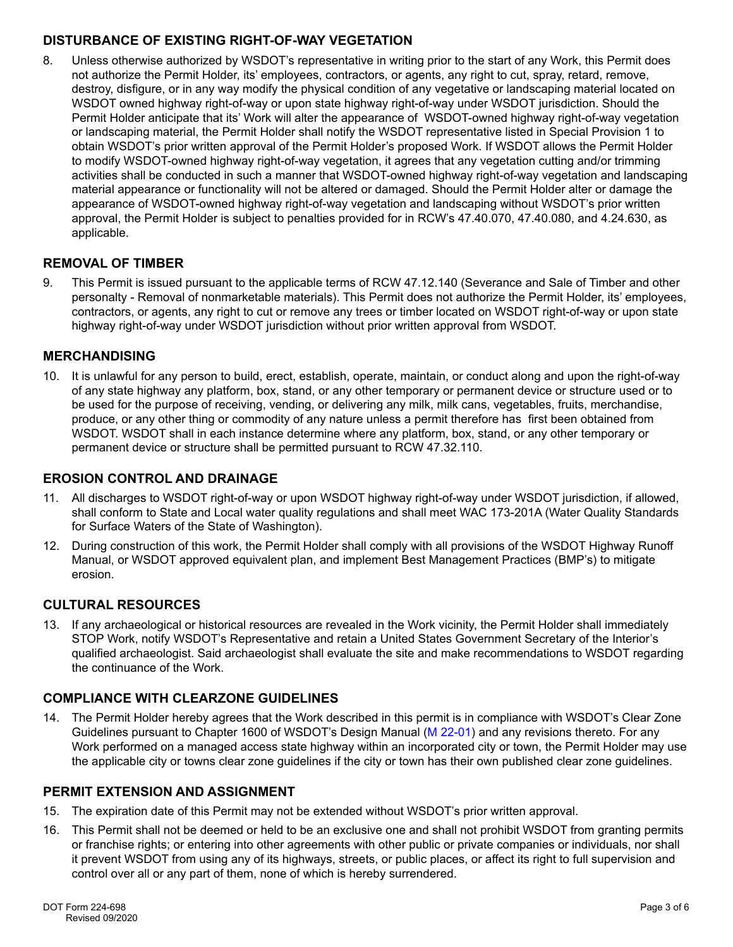# **DISTURBANCE OF EXISTING RIGHT-OF-WAY VEGETATION**

8. Unless otherwise authorized by WSDOT's representative in writing prior to the start of any Work, this Permit does not authorize the Permit Holder, its' employees, contractors, or agents, any right to cut, spray, retard, remove, destroy, disfigure, or in any way modify the physical condition of any vegetative or landscaping material located on WSDOT owned highway right-of-way or upon state highway right-of-way under WSDOT jurisdiction. Should the Permit Holder anticipate that its' Work will alter the appearance of WSDOT-owned highway right-of-way vegetation or landscaping material, the Permit Holder shall notify the WSDOT representative listed in Special Provision 1 to obtain WSDOT's prior written approval of the Permit Holder's proposed Work. If WSDOT allows the Permit Holder to modify WSDOT-owned highway right-of-way vegetation, it agrees that any vegetation cutting and/or trimming activities shall be conducted in such a manner that WSDOT-owned highway right-of-way vegetation and landscaping material appearance or functionality will not be altered or damaged. Should the Permit Holder alter or damage the appearance of WSDOT-owned highway right-of-way vegetation and landscaping without WSDOT's prior written approval, the Permit Holder is subject to penalties provided for in RCW's 47.40.070, 47.40.080, and 4.24.630, as applicable.

# **REMOVAL OF TIMBER**

9. This Permit is issued pursuant to the applicable terms of RCW 47.12.140 (Severance and Sale of Timber and other personalty - Removal of nonmarketable materials). This Permit does not authorize the Permit Holder, its' employees, contractors, or agents, any right to cut or remove any trees or timber located on WSDOT right-of-way or upon state highway right-of-way under WSDOT jurisdiction without prior written approval from WSDOT.

# **MERCHANDISING**

10. It is unlawful for any person to build, erect, establish, operate, maintain, or conduct along and upon the right-of-way of any state highway any platform, box, stand, or any other temporary or permanent device or structure used or to be used for the purpose of receiving, vending, or delivering any milk, milk cans, vegetables, fruits, merchandise, produce, or any other thing or commodity of any nature unless a permit therefore has first been obtained from WSDOT. WSDOT shall in each instance determine where any platform, box, stand, or any other temporary or permanent device or structure shall be permitted pursuant to RCW 47.32.110.

# **EROSION CONTROL AND DRAINAGE**

- 11. All discharges to WSDOT right-of-way or upon WSDOT highway right-of-way under WSDOT jurisdiction, if allowed, shall conform to State and Local water quality regulations and shall meet WAC 173-201A (Water Quality Standards for Surface Waters of the State of Washington).
- 12. During construction of this work, the Permit Holder shall comply with all provisions of the WSDOT Highway Runoff Manual, or WSDOT approved equivalent plan, and implement Best Management Practices (BMP's) to mitigate erosion.

# **CULTURAL RESOURCES**

13. If any archaeological or historical resources are revealed in the Work vicinity, the Permit Holder shall immediately STOP Work, notify WSDOT's Representative and retain a United States Government Secretary of the Interior's qualified archaeologist. Said archaeologist shall evaluate the site and make recommendations to WSDOT regarding the continuance of the Work.

# **COMPLIANCE WITH CLEARZONE GUIDELINES**

14. The Permit Holder hereby agrees that the Work described in this permit is in compliance with WSDOT's Clear Zone Guidelines pursuant to Chapter 1600 of WSDOT's Design Manual [\(M 22-01\)](https://www.wsdot.wa.gov/Publications/Manuals/M22-01.htm) and any revisions thereto. For any Work performed on a managed access state highway within an incorporated city or town, the Permit Holder may use the applicable city or towns clear zone guidelines if the city or town has their own published clear zone guidelines.

# **PERMIT EXTENSION AND ASSIGNMENT**

- 15. The expiration date of this Permit may not be extended without WSDOT's prior written approval.
- 16. This Permit shall not be deemed or held to be an exclusive one and shall not prohibit WSDOT from granting permits or franchise rights; or entering into other agreements with other public or private companies or individuals, nor shall it prevent WSDOT from using any of its highways, streets, or public places, or affect its right to full supervision and control over all or any part of them, none of which is hereby surrendered.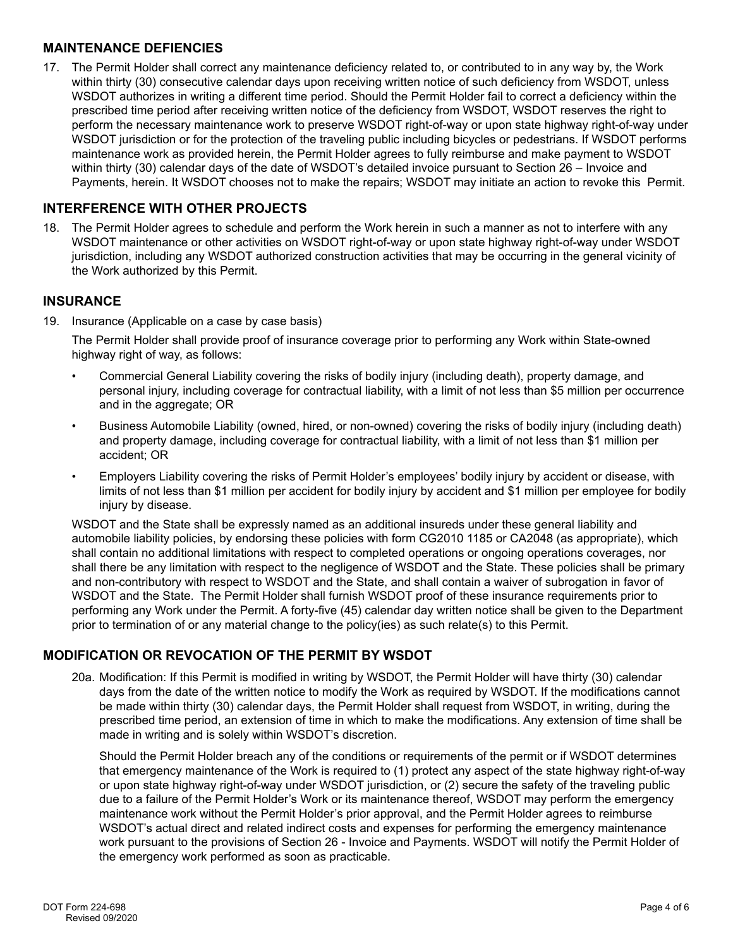#### **MAINTENANCE DEFIENCIES**

17. The Permit Holder shall correct any maintenance deficiency related to, or contributed to in any way by, the Work within thirty (30) consecutive calendar days upon receiving written notice of such deficiency from WSDOT, unless WSDOT authorizes in writing a different time period. Should the Permit Holder fail to correct a deficiency within the prescribed time period after receiving written notice of the deficiency from WSDOT, WSDOT reserves the right to perform the necessary maintenance work to preserve WSDOT right-of-way or upon state highway right-of-way under WSDOT jurisdiction or for the protection of the traveling public including bicycles or pedestrians. If WSDOT performs maintenance work as provided herein, the Permit Holder agrees to fully reimburse and make payment to WSDOT within thirty (30) calendar days of the date of WSDOT's detailed invoice pursuant to Section 26 – Invoice and Payments, herein. It WSDOT chooses not to make the repairs; WSDOT may initiate an action to revoke this Permit.

#### **INTERFERENCE WITH OTHER PROJECTS**

18. The Permit Holder agrees to schedule and perform the Work herein in such a manner as not to interfere with any WSDOT maintenance or other activities on WSDOT right-of-way or upon state highway right-of-way under WSDOT jurisdiction, including any WSDOT authorized construction activities that may be occurring in the general vicinity of the Work authorized by this Permit.

#### **INSURANCE**

19. Insurance (Applicable on a case by case basis)

The Permit Holder shall provide proof of insurance coverage prior to performing any Work within State-owned highway right of way, as follows:

- Commercial General Liability covering the risks of bodily injury (including death), property damage, and personal injury, including coverage for contractual liability, with a limit of not less than \$5 million per occurrence and in the aggregate; OR
- Business Automobile Liability (owned, hired, or non-owned) covering the risks of bodily injury (including death) and property damage, including coverage for contractual liability, with a limit of not less than \$1 million per accident; OR
- Employers Liability covering the risks of Permit Holder's employees' bodily injury by accident or disease, with limits of not less than \$1 million per accident for bodily injury by accident and \$1 million per employee for bodily injury by disease.

WSDOT and the State shall be expressly named as an additional insureds under these general liability and automobile liability policies, by endorsing these policies with form CG2010 1185 or CA2048 (as appropriate), which shall contain no additional limitations with respect to completed operations or ongoing operations coverages, nor shall there be any limitation with respect to the negligence of WSDOT and the State. These policies shall be primary and non-contributory with respect to WSDOT and the State, and shall contain a waiver of subrogation in favor of WSDOT and the State. The Permit Holder shall furnish WSDOT proof of these insurance requirements prior to performing any Work under the Permit. A forty-five (45) calendar day written notice shall be given to the Department prior to termination of or any material change to the policy(ies) as such relate(s) to this Permit.

# **MODIFICATION OR REVOCATION OF THE PERMIT BY WSDOT**

20a. Modification: If this Permit is modified in writing by WSDOT, the Permit Holder will have thirty (30) calendar days from the date of the written notice to modify the Work as required by WSDOT. If the modifications cannot be made within thirty (30) calendar days, the Permit Holder shall request from WSDOT, in writing, during the prescribed time period, an extension of time in which to make the modifications. Any extension of time shall be made in writing and is solely within WSDOT's discretion.

Should the Permit Holder breach any of the conditions or requirements of the permit or if WSDOT determines that emergency maintenance of the Work is required to (1) protect any aspect of the state highway right-of-way or upon state highway right-of-way under WSDOT jurisdiction, or (2) secure the safety of the traveling public due to a failure of the Permit Holder's Work or its maintenance thereof, WSDOT may perform the emergency maintenance work without the Permit Holder's prior approval, and the Permit Holder agrees to reimburse WSDOT's actual direct and related indirect costs and expenses for performing the emergency maintenance work pursuant to the provisions of Section 26 - Invoice and Payments. WSDOT will notify the Permit Holder of the emergency work performed as soon as practicable.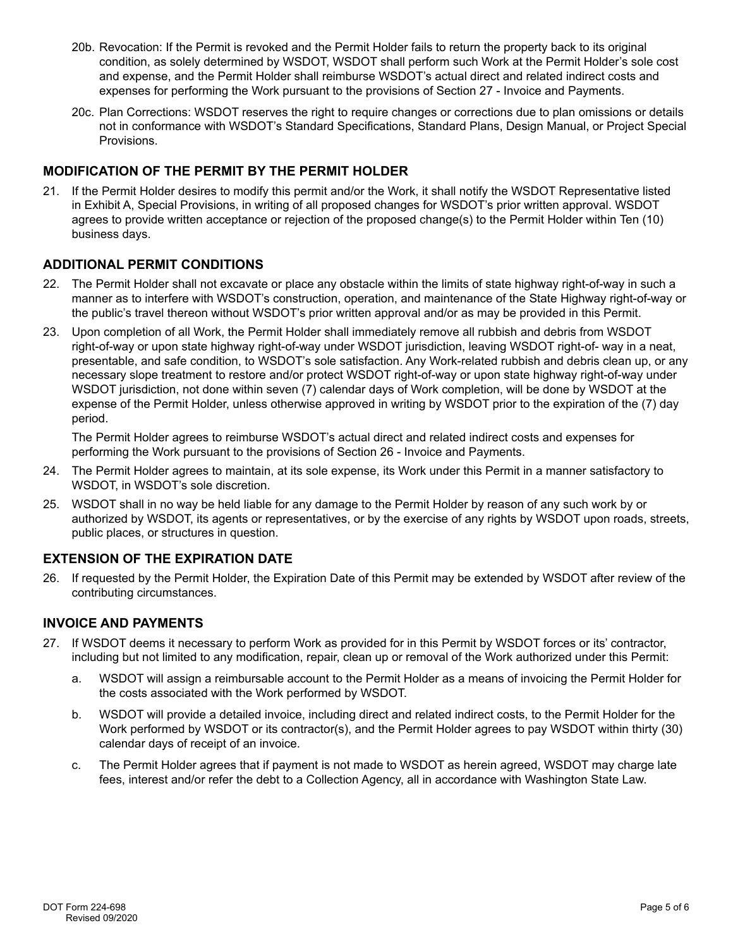- 20b. Revocation: If the Permit is revoked and the Permit Holder fails to return the property back to its original condition, as solely determined by WSDOT, WSDOT shall perform such Work at the Permit Holder's sole cost and expense, and the Permit Holder shall reimburse WSDOT's actual direct and related indirect costs and expenses for performing the Work pursuant to the provisions of Section 27 - Invoice and Payments.
- 20c. Plan Corrections: WSDOT reserves the right to require changes or corrections due to plan omissions or details not in conformance with WSDOT's Standard Specifications, Standard Plans, Design Manual, or Project Special Provisions.

# **MODIFICATION OF THE PERMIT BY THE PERMIT HOLDER**

21. If the Permit Holder desires to modify this permit and/or the Work, it shall notify the WSDOT Representative listed in Exhibit A, Special Provisions, in writing of all proposed changes for WSDOT's prior written approval. WSDOT agrees to provide written acceptance or rejection of the proposed change(s) to the Permit Holder within Ten (10) business days.

# **ADDITIONAL PERMIT CONDITIONS**

- 22. The Permit Holder shall not excavate or place any obstacle within the limits of state highway right-of-way in such a manner as to interfere with WSDOT's construction, operation, and maintenance of the State Highway right-of-way or the public's travel thereon without WSDOT's prior written approval and/or as may be provided in this Permit.
- 23. Upon completion of all Work, the Permit Holder shall immediately remove all rubbish and debris from WSDOT right-of-way or upon state highway right-of-way under WSDOT jurisdiction, leaving WSDOT right-of- way in a neat, presentable, and safe condition, to WSDOT's sole satisfaction. Any Work-related rubbish and debris clean up, or any necessary slope treatment to restore and/or protect WSDOT right-of-way or upon state highway right-of-way under WSDOT jurisdiction, not done within seven (7) calendar days of Work completion, will be done by WSDOT at the expense of the Permit Holder, unless otherwise approved in writing by WSDOT prior to the expiration of the (7) day period.

The Permit Holder agrees to reimburse WSDOT's actual direct and related indirect costs and expenses for performing the Work pursuant to the provisions of Section 26 - Invoice and Payments.

- 24. The Permit Holder agrees to maintain, at its sole expense, its Work under this Permit in a manner satisfactory to WSDOT, in WSDOT's sole discretion.
- 25. WSDOT shall in no way be held liable for any damage to the Permit Holder by reason of any such work by or authorized by WSDOT, its agents or representatives, or by the exercise of any rights by WSDOT upon roads, streets, public places, or structures in question.

# **EXTENSION OF THE EXPIRATION DATE**

26. If requested by the Permit Holder, the Expiration Date of this Permit may be extended by WSDOT after review of the contributing circumstances.

# **INVOICE AND PAYMENTS**

- 27. If WSDOT deems it necessary to perform Work as provided for in this Permit by WSDOT forces or its' contractor, including but not limited to any modification, repair, clean up or removal of the Work authorized under this Permit:
	- a. WSDOT will assign a reimbursable account to the Permit Holder as a means of invoicing the Permit Holder for the costs associated with the Work performed by WSDOT.
	- b. WSDOT will provide a detailed invoice, including direct and related indirect costs, to the Permit Holder for the Work performed by WSDOT or its contractor(s), and the Permit Holder agrees to pay WSDOT within thirty (30) calendar days of receipt of an invoice.
	- c. The Permit Holder agrees that if payment is not made to WSDOT as herein agreed, WSDOT may charge late fees, interest and/or refer the debt to a Collection Agency, all in accordance with Washington State Law.